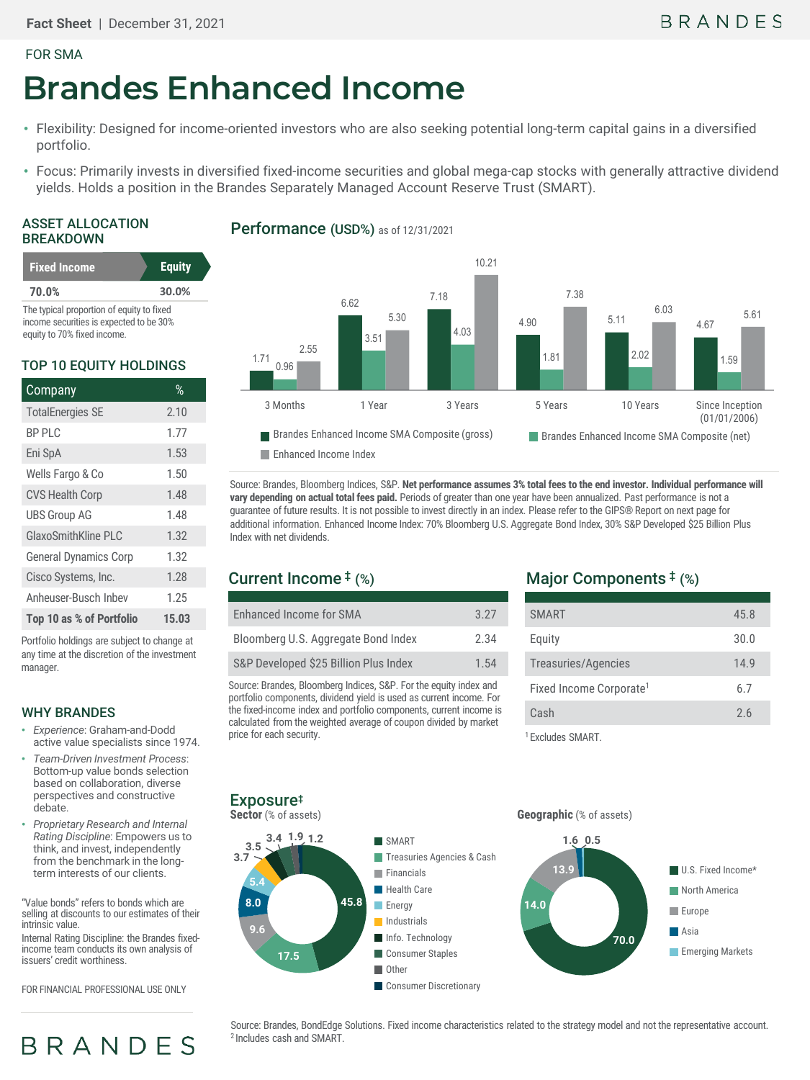#### FOR SMA

# **Brandes Enhanced Income**

- Flexibility: Designed for income-oriented investors who are also seeking potential long-term capital gains in a diversified portfolio.
- Focus: Primarily invests in diversified fixed-income securities and global mega-cap stocks with generally attractive dividend yields. Holds a position in the Brandes Separately Managed Account Reserve Trust (SMART).

#### ASSET ALLOCATION BREAKDOWN

| <b>Fixed Income</b>                       | <b>Equity</b> |
|-------------------------------------------|---------------|
| 70.0%                                     | 30.0%         |
| The tunical proportion of caught to fixed |               |

The typical proportion of equity to fixed income securities is expected to be 30% equity to 70% fixed income.

#### TOP 10 EQUITY HOLDINGS

| Company                      | $\%$  |
|------------------------------|-------|
| <b>TotalEnergies SE</b>      | 2.10  |
| <b>BP PLC</b>                | 1.77  |
| Eni SpA                      | 1.53  |
| Wells Fargo & Co             | 1.50  |
| <b>CVS Health Corp</b>       | 1.48  |
| <b>UBS Group AG</b>          | 1.48  |
| GlaxoSmithKline PLC          | 1.32  |
| <b>General Dynamics Corp</b> | 1.32  |
| Cisco Systems, Inc.          | 1.28  |
| Anheuser-Busch Inbev         | 1.25  |
| Top 10 as % of Portfolio     | 15.03 |

Portfolio holdings are subject to change at any time at the discretion of the investment manager

#### WHY BRANDES

- *Experience*: Graham-and-Dodd active value specialists since 1974.
- *Team-Driven Investment Process*: Bottom-up value bonds selection based on collaboration, diverse perspectives and constructive debate.
- *Proprietary Research and Internal Rating Discipline*: Empowers us to think, and invest, independently from the benchmark in the longterm interests of our clients.

"Value bonds" refers to bonds which are selling at discounts to our estimates of their intrinsic value.

Internal Rating Discipline: the Brandes fixed- income team conducts its own analysis of issuers' credit worthiness.

FOR FINANCIAL PROFESSIONAL USE ONLY

**BRANDES** 

### Performance (USD%) as of 12/31/2021



Source: Brandes, Bloomberg Indices, S&P. **Net performance assumes 3% total fees to the end investor. Individual performance will vary depending on actual total fees paid.** Periods of greater than one year have been annualized. Past performance is not a guarantee of future results. It is not possible to invest directly in an index. Please refer to the GIPS® Report on next page for additional information. Enhanced Income Index: 70% Bloomberg U.S. Aggregate Bond Index, 30% S&P Developed \$25 Billion Plus Index with net dividends.

# Current Income ‡ (%)

| Enhanced Income for SMA               | 3.27 |
|---------------------------------------|------|
| Bloomberg U.S. Aggregate Bond Index   | 2.34 |
| S&P Developed \$25 Billion Plus Index | 1.54 |

Source: Brandes, Bloomberg Indices, S&P. For the equity index and portfolio components, dividend yield is used as current income. For the fixed-income index and portfolio components, current income is calculated from the weighted average of coupon divided by market price for each security.

# Major Components ‡ (%)

| <b>SMART</b>                        | 45.8 |
|-------------------------------------|------|
| Equity                              | 30.0 |
| Treasuries/Agencies                 | 14.9 |
| Fixed Income Corporate <sup>1</sup> | 6.7  |
| Cash                                | 2.6  |
|                                     |      |

1 Excludes SMART.

#### **45.8 17.5 9.6 8.0 5.4 3.7 3.5 3.4 1.9 1.2** SMART **Treasuries Agencies & Cash Financials Health Care Energy Industrials** Info. Technology Consumer Staples Other **Consumer Discretionary 70.0 14.0 13.9 1.6 0.5** U.S. Fixed Income\* **North America Europe Asia Emerging Markets Sector** (% of assets) **Geographic** (% of assets) Exposure‡

Source: Brandes, BondEdge Solutions. Fixed income characteristics related to the strategy model and not the representative account.<br><sup>2</sup> Includes cash and SMART.